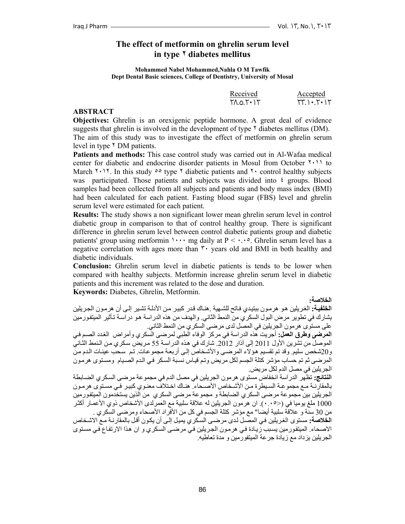## **The effect of metformin on ghrelin serum level in type ٢ diabetes mellitus**

**Mohammed Nabel Mohammed,Nahla O M Tawfik Dept Dental Basic sciences, College of Dentistry, University of Mosul** 

|            | Received                | Accepted                                |
|------------|-------------------------|-----------------------------------------|
|            | $T$ $A.0.7$ $+$ $+$ $+$ | $\Upsilon(\cdot) \cdot \Upsilon(\cdot)$ |
| $\sqrt{2}$ |                         |                                         |

#### **ABSTRACT**

**Objectives:** Ghrelin is an orexigenic peptide hormone. A great deal of evidence suggests that ghrelin is involved in the development of type  $\gamma$  diabetes mellitus (DM). The aim of this study was to investigate the effect of metformin on ghrelin serum level in type  $\gamma$  DM patients.

**Patients and methods:** This case control study was carried out in Al-Wafaa medical center for diabetic and endocrine disorder patients in Mosul from October ٢٠١١ to March  $\gamma$ . In this study  $\delta$  type  $\gamma$  diabetic patients and  $\gamma$  control healthy subjects was participated. Those patients and subjects was divided into <sup> $\epsilon$ </sup> groups. Blood samples had been collected from all subjects and patients and body mass index (BMI) had been calculated for each patient. Fasting blood sugar (FBS) level and ghrelin serum level were estimated for each patient.

**Results:** The study shows a non significant lower mean ghrelin serum level in control diabetic group in comparison to that of control healthy group. There is significant difference in ghrelin serum level between control diabetic patients group and diabetic patients' group using metformin  $\cdots$  mg daily at P <  $\cdots$  6. Ghrelin serum level has a negative correlation with ages more than ٣٠ years old and BMI in both healthy and diabetic individuals.

**Conclusion:** Ghrelin serum level in diabetic patients is tends to be lower when compared with healthy subjects. Metformin increase ghrelin serum level in diabetic patients and this increment was related to the dose and duration. **Keywords:** Diabetes, Ghrelin, Metformin.

**الخلاصة:**

ا**لخلفية:** الغريلين هو هرمون ببتيدي فاتح للشهية .هنـاك قدر كبير من الأدلـة تشير إلـي أن هرمـون الجريلين يشارك في تطوير مرض البول السكري من النمط الثاني. والهدف من هذه الدر اسة هو در اسـة تـأثير الميتفور مين على مستوى هرمون الجريلين في المصل لدى مرضى السكري من النمط الثاني.

**المرضى وطرق العمل:** أجريت هذه الدراسة في مرآز الوفاء الطبي لمرضى السكري وأمراض الغѧدد الصѧم فѧي الموصل من تشرين الأول 2011 إلى آذار 2012. شارك في هذه الدراسـة 55 مريض سكري من النمط الثـاني و20شخص سليم. وقد تم تقسيم هوٌ لاء المرضي والأشخاص إلى أربعة مجمو عات. تم سـحب عينـات الـدم من المرضى ثم تم حساب مؤشر كنلة الجسم لكل مريض وتم قياس نسبة السكر في الدم الصيام ومستوى هرمون الجريلين في مصل الدم لكل مريض.

**النتائج:** تظهر الدراسة انخفاض مستوى هرمون الجريلين في مصل الدم في مجموعة مرضى السѧكري الضѧابطة بالمقارنـة مـع مجمو عـة السـبطرة مـن الأشـخاص الأصـحاء. هنـاك اخـتلاف معنـوي كبيـر ۖ فـي مسـتوى هرمـون الجريلين بين مجموعة مرضى السكري الضابطة و مجموعة مرضى السكري من الذين يستخدمون الميتفѧورمين 1000 ملغ يوميا في (<٠.٠٥). ان هرمون الجريلين له علاقة سلبية مع العمرلدي الأشخاص ذوي الأعمـار أكثـر من 30 سنّة و علاقة سُلبية أيضا" مع مؤشر كتلة الجسم في كل من الأفراد الأصحاء ومرضى السّكري .

**الخلاصة:** مستوى الغريلين في المصـل لدى مر ضـي السكر ي يميل إلـي أن يكون أقل بالمقارنـة مـع الاشـخاص الاصحاء. الميتفورمين يسبب زيادة في هرمون الجريلين في مرضىي السكري و ان هذا الارتفاع في مستوى الجريلين يزداد مع زيادة جرعة الميتفورمين و مدة تعاطيه.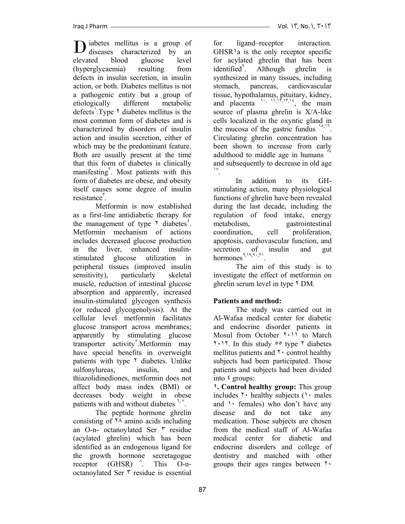iabetes mellitus is a group of **D** iabetes mellitus is a group of diseases characterized by an elevated blood glucose level (hyperglycaemia) resulting from defects in insulin secretion, in insulin action, or both. Diabetes mellitus is not a pathogenic entity but a group of etiologically different metabolic defects<sup>'</sup>.Type  $\lambda$  diabetes mellitus is the most common form of diabetes and is characterized by disorders of insulin action and insulin secretion, either of which may be the predominant feature. Both are usually present at the time that this form of diabetes is clinically manifesting<sup>'</sup>. Most patients with this form of diabetes are obese, and obesity itself causes some degree of insulin resistance<sup>r</sup>.

 Metformin is now established as a first-line antidiabetic therapy for the management of type  $\gamma$  diabetes<sup> $\epsilon$ </sup>. Metformin mechanism of actions includes decreased glucose production in the liver, enhanced insulinstimulated glucose utilization in peripheral tissues (improved insulin sensitivity), particularly skeletal muscle, reduction of intestinal glucose absorption and apparently, increased insulin-stimulated glycogen synthesis (or reduced glycogenolysis). At the cellular level metformin facilitates glucose transport across membranes; apparently by stimulating glucose transporter activity°.Metformin may have special benefits in overweight patients with type <sup>Y</sup> diabetes. Unlike sulfonylureas, insulin, and thiazolidinediones, metformin does not affect body mass index (BMI) or decreases body weight in obese patients with and without diabetes  $\frac{1}{2}$ ,  $\frac{1}{2}$ .

 The peptide hormone ghrelin consisting of  $\lambda$  amino acids including an O-n- octanoylated Ser ٣ residue (acylated ghrelin) which has been identified as an endogenous ligand for the growth hormone secretagogue receptor  $(GHSR)$   $\hat{ }$ . . This O-noctanoylated Ser ٣ residue is essential

Iraq J Pharm Vol. ١٣, No.١ ٢٠١ , ٣

for ligand–receptor interaction.  $GHSR$ <sup> $\alpha$ </sup> is the only receptor specific for acylated ghrelin that has been identified<sup>1</sup>. . Although ghrelin is synthesized in many tissues, including stomach, pancreas, cardiovascular tissue, hypothalamus, pituitary, kidney, and placenta  $\cdot$ ,  $\cdot$ ,  $\cdot$ ,  $\cdot$ ,  $\cdot$ ,  $\cdot$ , the main source of plasma ghrelin is X/A-like cells localized in the oxyntic gland in the mucosa of the gastric fundus  $1^{\circ}$ , Circulating ghrelin concentration has been shown to increase from early adulthood to middle age in humans and subsequently to decrease in old age ١٨.

 In addition to its GHstimulating action, many physiological functions of ghrelin have been revealed during the last decade, including the regulation of food intake, energy metabolism, gastrointestinal coordination, cell proliferation, apoptosis, cardiovascular function, and secretion of insulin and gut hormones<sup>٩</sup>,١٩,٢٠,<sup>٢١</sup>.

 The aim of this study is to investigate the effect of metformin on ghrelin serum level in type ٢ DM.

# **Patients and method:**

 The study was carried out in Al-Wafaa medical center for diabetic and endocrine disorder patients in Mosul from October ٢٠١١ to March ٢٠١٢. In this study ٥٥ type ٢ diabetes mellitus patients and  $\gamma$  control healthy subjects had been participated. Those patients and subjects had been divided into ٤ groups:

**١. Control healthy group:** This group includes  $\gamma$  healthy subjects ( $\gamma$  males and  $\lambda$  females) who don't have any disease and do not take any medication. Those subjects are chosen from the medical staff of Al-Wafaa medical center for diabetic and endocrine disorders and college of dentistry and matched with other groups their ages ranges between  $\mathbf{r}$ .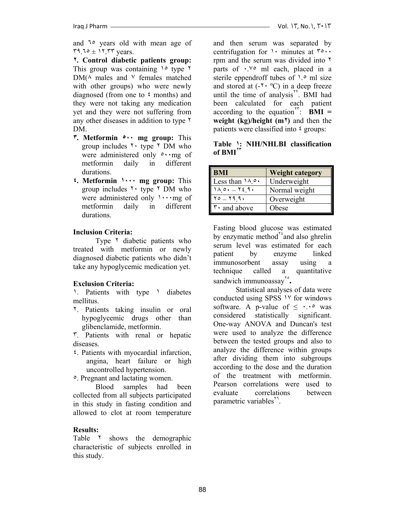and ٦٥ years old with mean age of  $59.70 \pm 11.77$  years.

**٢. Control diabetic patients group:** This group was containing ١٥ type ٢  $DM(\wedge \text{ males and } \vee \text{ females matched})$ with other groups) who were newly diagnosed (from one to ٤ months) and they were not taking any medication yet and they were not suffering from any other diseases in addition to type ٢ DM.

- **٣. Metformin ٥٠٠ mg group:** This group includes  $\gamma$  type  $\gamma$  DM who were administered only  $\circ \cdot$  mg of metformin daily in different durations.
- **٤. Metformin ١٠٠٠ mg group:** This group includes  $\gamma$  type  $\gamma$  DM who were administered only ١٠٠٠mg of metformin daily in different durations.

### **Inclusion Criteria:**

Type <sup> $\frac{1}{2}$ </sup> diabetic patients who treated with metformin or newly diagnosed diabetic patients who didn't take any hypoglycemic medication yet.

### **Exclusion Criteria:**

1. Patients with type 1 diabetes mellitus.

٢. Patients taking insulin or oral hypoglycemic drugs other than glibenclamide, metformin.

٣. Patients with renal or hepatic diseases.

٤. Patients with myocardial infarction, angina, heart failure or high uncontrolled hypertension.

٥. Pregnant and lactating women.

 Blood samples had been collected from all subjects participated in this study in fasting condition and allowed to clot at room temperature

### **Results:**

Table <sup>r</sup> shows the demographic characteristic of subjects enrolled in this study.

and then serum was separated by centrifugation for  $\cdot$  minutes at  $\cdot$ . rpm and the serum was divided into ٢ parts of  $\cdot$ .  $\vee$  o ml each, placed in a sterile eppendroff tubes of  $\lambda$ <sup>o</sup> ml size and stored at  $(-7 \cdot {}^{\circ}C)$  in a deep freeze until the time of analysis<sup>\*\*</sup>. BMI had been calculated for each patient according to the equation<sup> $\mathbf{r}^{\mathbf{r}}$ :  $\mathbf{\dot{B}}\mathbf{M}\mathbf{I} =$ </sup> **weight (kg)/height (m٢)** and then the patients were classified into ٤ groups:

**Table ١: NIH/NHLBI classification of BMI<sup>٢٣</sup>**

| <b>BMI</b>                   | <b>Weight category</b> |
|------------------------------|------------------------|
| Less than $10.0$ .           | Underweight            |
| $1\wedge o. = 729.$          | Normal weight          |
| $Y_0 = Y_1 9.$               | Overweight             |
| $\mathbf{r} \cdot$ and above | Obese                  |

Fasting blood glucose was estimated by enzymatic method $^{\prime\prime}$  and also ghrelin serum level was estimated for each patient by enzyme linked immunosorbent assay using a technique called a quantitative sandwich immunoassay<sup>1°</sup>.

 Statistical analyses of data were conducted using SPSS ١٧ for windows software. A p-value of  $\leq \cdot \cdot \cdot$  was considered statistically significant. One-way ANOVA and Duncan's test were used to analyze the difference between the tested groups and also to analyze the difference within groups after dividing them into subgroups according to the dose and the duration of the treatment with metformin. Pearson correlations were used to evaluate correlations between parametric variables<sup>11</sup>.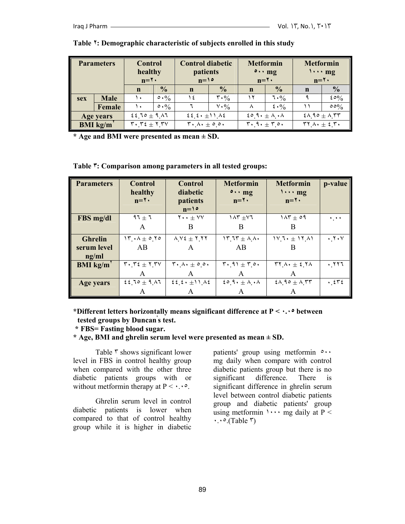| <b>Parameters</b> |             | <b>Control</b><br>healthy<br>$n = \tau$ .                                            |                           | <b>Control diabetic</b><br>patients<br>$n=10$                           |                                 | <b>Metformin</b><br>$\circ \cdot \cdot$ mg<br>$n = \tau$ .          |                                 | <b>Metformin</b><br>$\cdots$ mg<br>$n = \tau$ .                      |                           |
|-------------------|-------------|--------------------------------------------------------------------------------------|---------------------------|-------------------------------------------------------------------------|---------------------------------|---------------------------------------------------------------------|---------------------------------|----------------------------------------------------------------------|---------------------------|
|                   |             | $\mathbf n$                                                                          | $\frac{0}{0}$             | $\mathbf n$                                                             | $\frac{0}{0}$                   | n                                                                   | $\frac{1}{2}$                   | $\mathbf n$                                                          | $\frac{0}{0}$             |
| <b>sex</b>        | <b>Male</b> | ١.                                                                                   | $\circ \cdot \frac{0}{0}$ | ١٤                                                                      | $\mathbf{r} \cdot \mathbf{v}_0$ | ۱۲                                                                  | 7.9/0                           |                                                                      | $20\%$                    |
|                   | Female      | ١.                                                                                   | $\circ \cdot \%$          |                                                                         | $V \cdot \frac{0}{0}$           |                                                                     | $\frac{2}{3} \cdot \frac{6}{6}$ |                                                                      | $\circ \circ \frac{6}{6}$ |
| Age years         |             | $2210 \pm 9.17$                                                                      |                           | $\mathcal{E}\mathcal{E}_1\mathcal{E}_2 + \pm 11$ $\Delta \mathcal{E}_2$ |                                 | $20.9.4 + A.$                                                       |                                 | $2\wedge$ 90 $\pm$ $\wedge$ $55$                                     |                           |
| <b>BMI</b> kg/m   |             | $\mathbf{r} \cdot \mathbf{r} \mathbf{\epsilon} \pm \mathbf{r} \mathbf{r} \mathbf{v}$ |                           | $\mathbf{r} \cdot \mathbf{v} \cdot \pm \mathbf{v} \cdot \mathbf{v}$     |                                 | $\mathbf{r} \cdot \mathbf{a} \cdot \pm \mathbf{r} \cdot \mathbf{a}$ |                                 | $\mathbf{r} \mathbf{v} \wedge \cdot \pm \mathbf{v} \cdot \mathbf{v}$ |                           |

#### **Table ٢: Demographic characteristic of subjects enrolled in this study**

**\* Age and BMI were presented as mean ± SD.** 

**Table ٣: Comparison among parameters in all tested groups:** 

| <b>Parameters</b> | <b>Control</b><br>healthy<br>$n = \mathbf{Y}$                                     | <b>Control</b><br>diabetic<br>patients<br>$n=10$          | <b>Metformin</b><br>$\circ \cdot \cdot$ mg<br>$n = \mathbf{Y}$           | <b>Metformin</b><br>$\cdots$ mg<br>$n = \mathbf{Y}$                   | p-value                          |
|-------------------|-----------------------------------------------------------------------------------|-----------------------------------------------------------|--------------------------------------------------------------------------|-----------------------------------------------------------------------|----------------------------------|
| FBS mg/dl         | $97 \pm 7$                                                                        | $Y \cdot \cdot \pm VV$                                    | $\lambda \tau \pm \nu \tau$                                              | $1\Lambda \mathsf{r} \pm \circ \mathsf{q}$                            | $\ddotsc$                        |
|                   | A                                                                                 | B                                                         | B                                                                        | B                                                                     |                                  |
| <b>Ghrelin</b>    | $\mathcal{N} \cdot \mathcal{N} \pm 0.70$                                          | $\Lambda$ $V$ $\epsilon$ $\pm$ $\tau$ $\tau$ $\tau$       | $\mathcal{N} \cdot \mathcal{N} + \mathcal{N} \cdot$                      | $11.1 + 15.1$                                                         | $\cdot$ , $\cdot$ $\cdot$ $\vee$ |
| serum level       | AB                                                                                | A                                                         | AB                                                                       | B                                                                     |                                  |
| ng/ml             |                                                                                   |                                                           |                                                                          |                                                                       |                                  |
| <b>BMI</b> kg/m   | $\mathbf{r} \cdot \mathbf{r}$ $\epsilon \pm \mathbf{r}$ , $\mathbf{r} \mathbf{v}$ | $\mathbf{r} \cdot \mathbf{v} \cdot \pm \circ \circ \cdot$ | $\mathbf{r} \cdot \mathbf{A} \mathbf{1} \pm \mathbf{r} \cdot \mathbf{A}$ | $\mathbf{r} \mathbf{y} \wedge \cdot \pm \mathbf{z} \mathbf{y} \wedge$ | .777                             |
|                   | A                                                                                 | A                                                         | A                                                                        | A                                                                     |                                  |
| Age years         | $2210 \pm 9.17$                                                                   | $\mathcal{E}\mathcal{E}_1\mathcal{E}_2 + \pm 11.04$       | 20.9.4 A.                                                                | $2\lambda$ , 90 ± $\lambda$ , $\mathbf{r}\mathbf{r}$                  | $\cdot$ $575$                    |
|                   |                                                                                   |                                                           |                                                                          |                                                                       |                                  |

**\*Different letters horizontally means significant difference at P < ٠.٠٥ between tested groups by Duncan' s test.** 

 **\* FBS= Fasting blood sugar.** 

**\* Age, BMI and ghrelin serum level were presented as mean ± SD.** 

Table  $\bar{r}$  shows significant lower level in FBS in control healthy group when compared with the other three diabetic patients groups with or without metformin therapy at  $P \leq \cdot \cdot \cdot$ .

 Ghrelin serum level in control diabetic patients is lower when compared to that of control healthy group while it is higher in diabetic

patients' group using metformin ٥٠٠ mg daily when compare with control diabetic patients group but there is no significant difference. There is significant difference in ghrelin serum level between control diabetic patients group and diabetic patients' group using metformin  $\cdots$  mg daily at P <  $\cdot \cdot \cdot$  (Table  $\tau$ )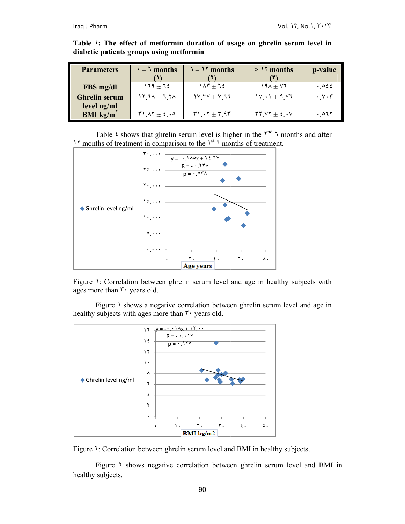| <b>Parameters</b>    | $\cdot$ – $\overline{\ }$ months                                    | $7 - 17$ months                                             | $>15$ months          | p-value                           |
|----------------------|---------------------------------------------------------------------|-------------------------------------------------------------|-----------------------|-----------------------------------|
|                      |                                                                     |                                                             |                       |                                   |
| FBS mg/dl            | ۱٦٩ $\pm$ ٦٤                                                        | $1\Lambda$ ۳ $\pm$ 12                                       | $19\lambda + V7$      | $.$ $\circ$ $\epsilon$ $\epsilon$ |
| <b>Ghrelin serum</b> | $\lambda$ $\gamma$ $\gamma$ $\lambda$ $\pm$ $\lambda$ $\gamma$      | $1V$ $TV$ $\pm$ $V$ $11$                                    | $1V \cdot 1 \pm 9.1V$ | $\cdot$ $\vee$ $\cdot$ $\tau$     |
| level ng/ml          |                                                                     |                                                             |                       |                                   |
| <b>BMI</b> kg/m      | $\mathbf{Y} \setminus \mathbf{Y} \pm \mathbf{\xi} \cdot \mathbf{0}$ | $\mathbf{r} \cdot \mathbf{v} \pm \mathbf{r}$ 9 $\mathbf{r}$ | $YY/Y \pm 2.4Y$       | ۱۰ 07۲                            |

Table  $\mathfrak{t}$ : The effect of metformin duration of usage on ghrelin serum level in diabetic patients groups using metformin

<sup>11</sup> months of treatment in comparison to the <sup>1st</sup> <sup>1</sup> months of treatment. Table  $\zeta$  shows that ghrelin serum level is higher in the  $\zeta^{nd}$   $\zeta$  months and after



Figure 1: Correlation between ghrelin serum level and age in healthy subjects with ages more than  $\mathbf{r} \cdot \mathbf{y}$  years old.

healthy subjects with ages more than  $\mathbf{r}$  years old. Figure 1 shows a negative correlation between ghrelin serum level and age in



Figure Y: Correlation between ghrelin serum level and BMI in healthy subjects.

healthy subjects. Figure <sup>Y</sup> shows negative correlation between ghrelin serum level and BMI in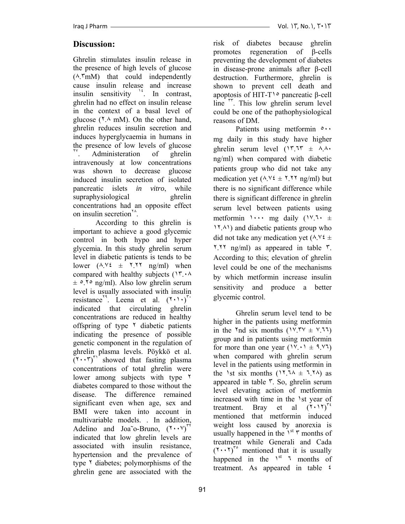# **Discussion:**

Ghrelin stimulates insulin release in the presence of high levels of glucose (٨.٣mM) that could independently cause insulin release and increase insulin sensitivity <sup>1</sup>. In contrast, ghrelin had no effect on insulin release in the context of a basal level of glucose  $(1.4 \text{ mM})$ . On the other hand, ghrelin reduces insulin secretion and induces hyperglycaemia in humans in the presence of low levels of glucose Administeration of ghrelin intravenously at low concentrations was shown to decrease glucose induced insulin secretion of isolated pancreatic islets *in vitro*, while supraphysiological ghrelin concentrations had an opposite effect on insulin secretion<sup>14</sup>.

 According to this ghrelin is important to achieve a good glycemic control in both hypo and hyper glycemia. In this study ghrelin serum level in diabetic patients is tends to be lower  $(\lambda \cdot Y \in \pm Y \cdot Y \cdot \text{ng/ml})$  when compared with healthy subjects (١٣.٠٨  $\pm$  0.70 ng/ml). Also low ghrelin serum level is usually associated with insulin resistance<sup> $\lambda$ 9</sup>. Leena et al.  $(\lambda \cdot) \lambda$ <sup>r.</sup> indicated that circulating ghrelin concentrations are reduced in healthy offspring of type  $\lambda$  diabetic patients indicating the presence of possible genetic component in the regulation of ghrelin plasma levels. Pöykkö et al.  $(\mathbf{r} \cdot \mathbf{r})^{\mathbf{r} \cdot \mathbf{r}}$  showed that fasting plasma concentrations of total ghrelin were lower among subjects with type ٢ diabetes compared to those without the disease. The difference remained significant even when age, sex and BMI were taken into account in multivariable models. . In addition, Adelino and Joa<sup> $\sim$ </sup>o-Bruno,  $(\gamma \cdot \gamma)^{r\gamma}$ indicated that low ghrelin levels are associated with insulin resistance, hypertension and the prevalence of type  $\frac{1}{2}$  diabetes; polymorphisms of the ghrelin gene are associated with the

risk of diabetes because ghrelin promotes regeneration of β-cells preventing the development of diabetes in disease-prone animals after β-cell destruction. Furthermore, ghrelin is shown to prevent cell death and apoptosis of HIT-T١٥ pancreatic β-cell line <sup>rr</sup>. This low ghrelin serum level could be one of the pathophysiological reasons of DM.

Patients using metformin  $\circ \cdot \cdot$ mg daily in this study have higher ghrelin serum level  $(17.17 + A)$ ng/ml) when compared with diabetic patients group who did not take any medication yet  $(\lambda, \forall \xi \pm \forall, \forall \eta g/ml)$  but there is no significant difference while there is significant difference in ghrelin serum level between patients using metformin  $\cdots$  mg daily  $(1^{\vee})^{\uparrow}$ .  $\pm$ ١٢.٨١) and diabetic patients group who did not take any medication yet  $(\lambda, \forall \xi \pm)$ ٢.٢٢ ng/ml) as appeared in table ٣. According to this; elevation of ghrelin level could be one of the mechanisms by which metformin increase insulin sensitivity and produce a better glycemic control.

 Ghrelin serum level tend to be higher in the patients using metformin in the  $\eta$  as ix months ( $1 \times 1 \times 2 \times 3 \times 1$ ) group and in patients using metformin for more than one year  $(1 \vee \cdots) \pm 1 \vee 1$ when compared with ghrelin serum level in the patients using metformin in the 1st six months (17.74  $\pm$  7.74) as appeared in table ٣. So, ghrelin serum level elevating action of metformin increased with time in the ١st year of treatment. Bray et al  $(\Upsilon \cdot \Upsilon)^{r}$ mentioned that metformin induced weight loss caused by anorexia is usually happened in the  $1^{st}$   $\tau$  months of treatment while Generali and Cada  $(\mathbf{Y} \cdot \mathbf{Y})^{\mathbf{r} \circ}$  mentioned that it is usually happened in the  $1<sup>st</sup>$  1 months of treatment. As appeared in table ٤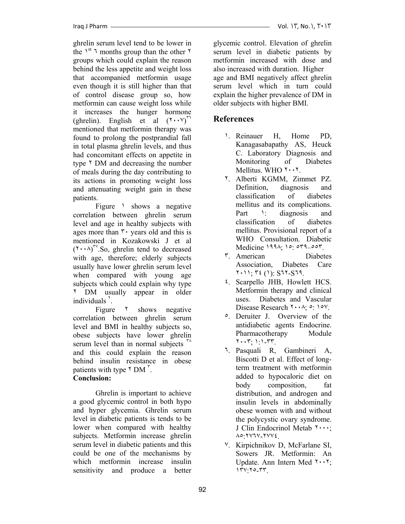ghrelin serum level tend to be lower in the  $1<sup>st</sup>$  7 months group than the other  $1<sup>t</sup>$ groups which could explain the reason behind the less appetite and weight loss that accompanied metformin usage even though it is still higher than that of control disease group so, how metformin can cause weight loss while it increases the hunger hormone (ghrelin). English et al  $(\gamma \cdot \gamma)^{17}$ mentioned that metformin therapy was found to prolong the postprandial fall in total plasma ghrelin levels, and thus had concomitant effects on appetite in type <sup> $\uparrow$ </sup> DM and decreasing the number of meals during the day contributing to its actions in promoting weight loss and attenuating weight gain in these patients.

Figure 1 shows a negative correlation between ghrelin serum level and age in healthy subjects with ages more than  $\mathbf{r}$  vears old and this is mentioned in Kozakowski J et al  $(\mathsf{Y} \cdot \cdot \mathsf{A})^{\mathsf{TV}}$ . So, ghrelin tend to decreased with age, therefore; elderly subjects usually have lower ghrelin serum level when compared with young age subjects which could explain why type ٢ DM usually appear in older individuals $\degree$ .

Figure  $\frac{8}{10}$  shows negative correlation between ghrelin serum level and BMI in healthy subjects so, obese subjects have lower ghrelin serum level than in normal subjects <sup>14</sup> and this could explain the reason behind insulin resistance in obese patients with type  $\gamma$  DM $\gamma$ .

### **Conclusion:**

 Ghrelin is important to achieve a good glycemic control in both hypo and hyper glycemia. Ghrelin serum level in diabetic patients is tends to be lower when compared with healthy subjects. Metformin increase ghrelin serum level in diabetic patients and this could be one of the mechanisms by which metformin increase insulin sensitivity and produce a better glycemic control. Elevation of ghrelin serum level in diabetic patients by metformin increased with dose and also increased with duration. Higher age and BMI negatively affect ghrelin serum level which in turn could explain the higher prevalence of DM in older subjects with higher BMI.

# **References**

- ١. Reinauer H, Home PD, Kanagasabapathy AS, Heuck C. Laboratory Diagnosis and Monitoring of Diabetes Mellitus. WHO ٢٠٠٢.
- ٢. Alberti KGMM, Zimmet PZ. Definition, diagnosis and classification of diabetes mellitus and its complications. Part 1: diagnosis and classification of diabetes mellitus. Provisional report of a WHO Consultation. Diabetic Medicine ١٩٩٨; ١٥: ٥٣٩–٥٥٣.
- ٣. American Diabetes Association, Diabetes Care ٢٠١١; ٣٤ (١): S٦٢-S٦٩.
- ٤. Scarpello JHB, Howlett HCS. Metformin therapy and clinical uses. Diabetes and Vascular Disease Research  $\forall \cdot \cdot \land \vdots$  or  $\lor \circ \lor$ .
- ٥. Deruiter J. Overview of the antidiabetic agents Endocrine. Pharmacotherapy Module ٢٠٠٣; ١:١-٣٣.
- ٦. Pasquali R, Gambineri A, Biscotti D et al. Effect of longterm treatment with metformin added to hypocaloric diet on body composition, fat distribution, and androgen and insulin levels in abdominally obese women with and without the polycystic ovary syndrome. J Clin Endocrinol Metab ٢٠٠٠; ٨٥:٢٧٦٧-٢٧٧٤.
- ٧. Kirpichnikov D, McFarlane SI, Sowers JR. Metformin: An Update. Ann Intern Med ٢٠٠٢; ١٣٧:٢٥-٣٣.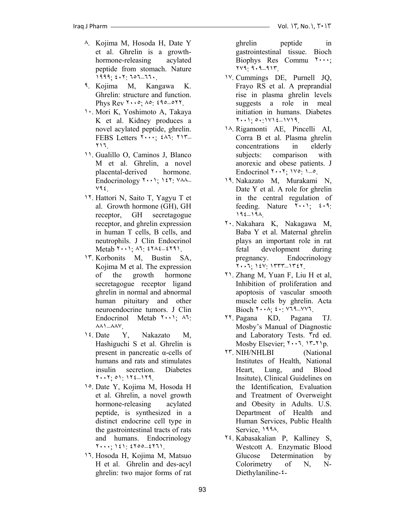- ٨. Kojima M, Hosoda H, Date Y et al. Ghrelin is a growthhormone-releasing acylated peptide from stomach. Nature ١٩٩٩; ٤٠٢: ٦٥٦–٦٦٠.
- ٩. Kojima M, Kangawa K. Ghrelin: structure and function. Phys Rev  $1 \cdots 9$ ;  $10 \cdot 290 = 017$ .
- ١٠. Mori K, Yoshimoto A, Takaya K et al. Kidney produces a novel acylated peptide, ghrelin. FEBS Letters ٢٠٠٠; ٤٨٦: ٢١٣– ٢١٦.
- ١١. Gualillo O, Caminos J, Blanco M et al. Ghrelin, a novel placental-derived hormone. Endocrinology  $Y \cdot Y$ ;  $Y \cdot Y$ :  $Y \wedge \wedge$ ٧٩٤.
- ١٢. Hattori N, Saito T, Yagyu T et al. Growth hormone (GH), GH receptor, GH secretagogue receptor, and ghrelin expression in human T cells, B cells, and neutrophils. J Clin Endocrinol Metab ٢٠٠١; ٨٦: ٤٢٨٤–٤٢٩١.
- ١٣. Korbonits M, Bustin SA, Kojima M et al. The expression of the growth hormone secretagogue receptor ligand ghrelin in normal and abnormal human pituitary and other neuroendocrine tumors. J Clin Endocrinol Metab ٢٠٠١; ٨٦: ٨٨١–٨٨٧.
- ١٤. Date Y, Nakazato M, Hashiguchi S et al. Ghrelin is present in pancreatic α-cells of humans and rats and stimulates insulin secretion. Diabetes ٢٠٠٢; ٥١: ١٢٤–١٢٩.
- ١٥. Date Y, Kojima M, Hosoda H et al. Ghrelin, a novel growth hormone-releasing acylated peptide, is synthesized in a distinct endocrine cell type in the gastrointestinal tracts of rats and humans. Endocrinology ٢٠٠٠; ١٤١: ٤٢٥٥–٤٢٦١.
- ١٦. Hosoda H, Kojima M, Matsuo H et al. Ghrelin and des-acyl ghrelin: two major forms of rat

ghrelin peptide in gastrointestinal tissue. Bioch Biophys Res Commu  $\mathbf{v} \cdot \mathbf{v}$ ; ٢٧٩: ٩٠٩–٩١٣.

- ١٧. Cummings DE, Purnell JQ, Frayo RS et al. A preprandial rise in plasma ghrelin levels suggests a role in meal initiation in humans. Diabetes ٢٠٠١; ٥٠:١٧١٤–١٧١٩.
- ١٨. Rigamonti AE, Pincelli AI, Corra B et al. Plasma ghrelin concentrations in elderly subjects: comparison with anorexic and obese patients. J Endocrinol  $\forall \cdot \cdot \forall$ ;  $\forall \circ$ :  $\vdash$   $\circ$ .
- ١٩. Nakazato M, Murakami N, Date Y et al. A role for ghrelin in the central regulation of feeding. Nature  $\{\cdot\cdot\cdot\}$   $\{\cdot\cdot\}$ : ١٩٤–١٩٨.
- ٢٠. Nakahara K, Nakagawa M, Baba Y et al. Maternal ghrelin plays an important role in rat fetal development during pregnancy. Endocrinology ٢٠٠٦; ١٤٧: ١٣٣٣–١٣٤٢.
- ٢١. Zhang M, Yuan F, Liu H et al, Inhibition of proliferation and apoptosis of vascular smooth muscle cells by ghrelin. Acta Bioch  $\forall \cdot \lambda$ ;  $\forall \cdot \forall \forall \lambda$ .
- ٢٢. Pagana KD, Pagana TJ. Mosby's Manual of Diagnostic and Laboratory Tests. ٣rd ed. Mosby Elsevier; ٢٠٠٦. ١٣-٢١p.
- ٢٣. NIH/NHLBI (National Institutes of Health, National Heart, Lung, and Blood Insitute), Clinical Guidelines on the Identification, Evaluation and Treatment of Overweight and Obesity in Adults. U.S. Department of Health and Human Services, Public Health Service, ١٩٩٨.
- ٢٤. Kabasakalian P, Kalliney S, Westcott A. Enzymatic Blood Glucose Determination by Colorimetry of N, N-Diethylaniline-٤-